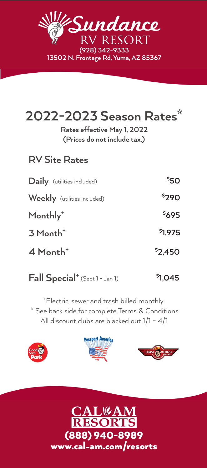

# **2022-2023 Season Rates\***

**(Prices do not include tax.) Rates effective May 1, 2022**

### **RV Site Rates**

| Daily (utilities included)         | \$50    |
|------------------------------------|---------|
| <b>Weekly</b> (utilities included) | \$290   |
| Monthly <sup>+</sup>               | \$695   |
| 3 Month <sup>+</sup>               | \$1,975 |
| 4 Month <sup>+</sup>               | \$2,450 |

**Fall Special+** (Sept 1 - Jan 1) **\$ 1,045**

\* See back side for complete Terms & Conditions + Electric, sewer and trash billed monthly. All discount clubs are blacked out 1/1 - 4/1